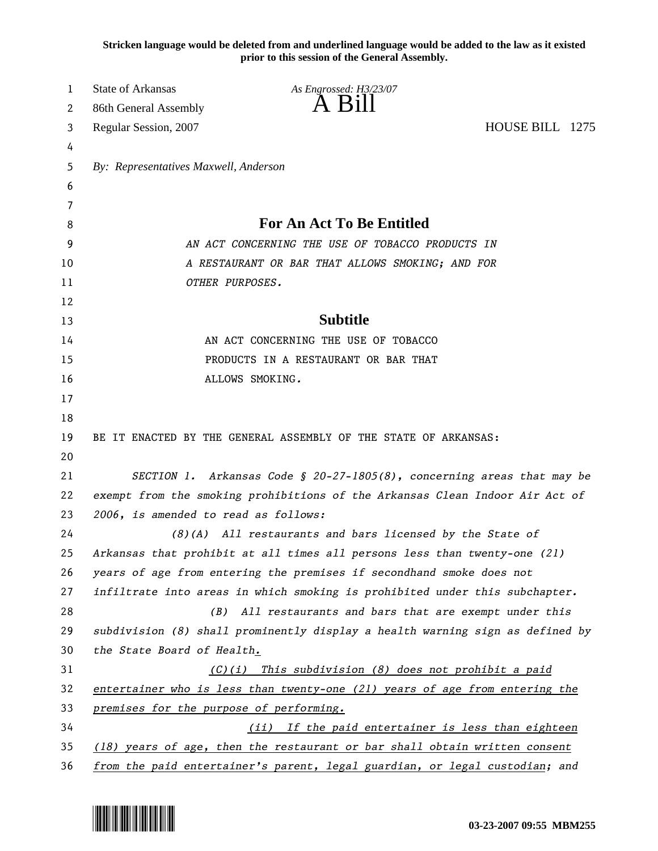**Stricken language would be deleted from and underlined language would be added to the law as it existed prior to this session of the General Assembly.**

| 1        | <b>State of Arkansas</b>                                                                                                                            | As Engrossed: H3/23/07                                                       |                 |  |
|----------|-----------------------------------------------------------------------------------------------------------------------------------------------------|------------------------------------------------------------------------------|-----------------|--|
| 2        | 86th General Assembly                                                                                                                               | $\overline{A}$ $\overline{B}1$                                               |                 |  |
| 3        | Regular Session, 2007                                                                                                                               |                                                                              | HOUSE BILL 1275 |  |
| 4        |                                                                                                                                                     |                                                                              |                 |  |
| 5        | By: Representatives Maxwell, Anderson                                                                                                               |                                                                              |                 |  |
| 6        |                                                                                                                                                     |                                                                              |                 |  |
| 7        |                                                                                                                                                     |                                                                              |                 |  |
| 8        | <b>For An Act To Be Entitled</b>                                                                                                                    |                                                                              |                 |  |
| 9        | AN ACT CONCERNING THE USE OF TOBACCO PRODUCTS IN                                                                                                    |                                                                              |                 |  |
| 10       | A RESTAURANT OR BAR THAT ALLOWS SMOKING; AND FOR                                                                                                    |                                                                              |                 |  |
| 11       | OTHER PURPOSES.                                                                                                                                     |                                                                              |                 |  |
| 12       |                                                                                                                                                     |                                                                              |                 |  |
| 13       | <b>Subtitle</b>                                                                                                                                     |                                                                              |                 |  |
| 14       | AN ACT CONCERNING THE USE OF TOBACCO                                                                                                                |                                                                              |                 |  |
| 15       | PRODUCTS IN A RESTAURANT OR BAR THAT                                                                                                                |                                                                              |                 |  |
| 16       |                                                                                                                                                     | ALLOWS SMOKING.                                                              |                 |  |
| 17       |                                                                                                                                                     |                                                                              |                 |  |
| 18       |                                                                                                                                                     |                                                                              |                 |  |
| 19       |                                                                                                                                                     | BE IT ENACTED BY THE GENERAL ASSEMBLY OF THE STATE OF ARKANSAS:              |                 |  |
| 20       |                                                                                                                                                     |                                                                              |                 |  |
| 21       | SECTION 1. Arkansas Code § 20-27-1805(8), concerning areas that may be                                                                              |                                                                              |                 |  |
| 22       |                                                                                                                                                     | exempt from the smoking prohibitions of the Arkansas Clean Indoor Air Act of |                 |  |
| 23       | 2006, is amended to read as follows:                                                                                                                |                                                                              |                 |  |
| 24       |                                                                                                                                                     | $(8)$ (A) All restaurants and bars licensed by the State of                  |                 |  |
| 25       |                                                                                                                                                     | Arkansas that prohibit at all times all persons less than twenty-one (21)    |                 |  |
| 26       | years of age from entering the premises if secondhand smoke does not<br>infiltrate into areas in which smoking is prohibited under this subchapter. |                                                                              |                 |  |
| 27       |                                                                                                                                                     |                                                                              |                 |  |
| 28       | (B)                                                                                                                                                 | All restaurants and bars that are exempt under this                          |                 |  |
| 29       | subdivision (8) shall prominently display a health warning sign as defined by                                                                       |                                                                              |                 |  |
| 30       | the State Board of Health.                                                                                                                          |                                                                              |                 |  |
| 31       | This subdivision (8) does not prohibit a paid<br>(C)(1)                                                                                             |                                                                              |                 |  |
| 32       | entertainer who is less than twenty-one (21) years of age from entering the                                                                         |                                                                              |                 |  |
| 33       | premises for the purpose of performing.                                                                                                             |                                                                              |                 |  |
| 34<br>35 | (ii) If the paid entertainer is less than eighteen<br>(18) years of age, then the restaurant or bar shall obtain written consent                    |                                                                              |                 |  |
|          |                                                                                                                                                     |                                                                              |                 |  |